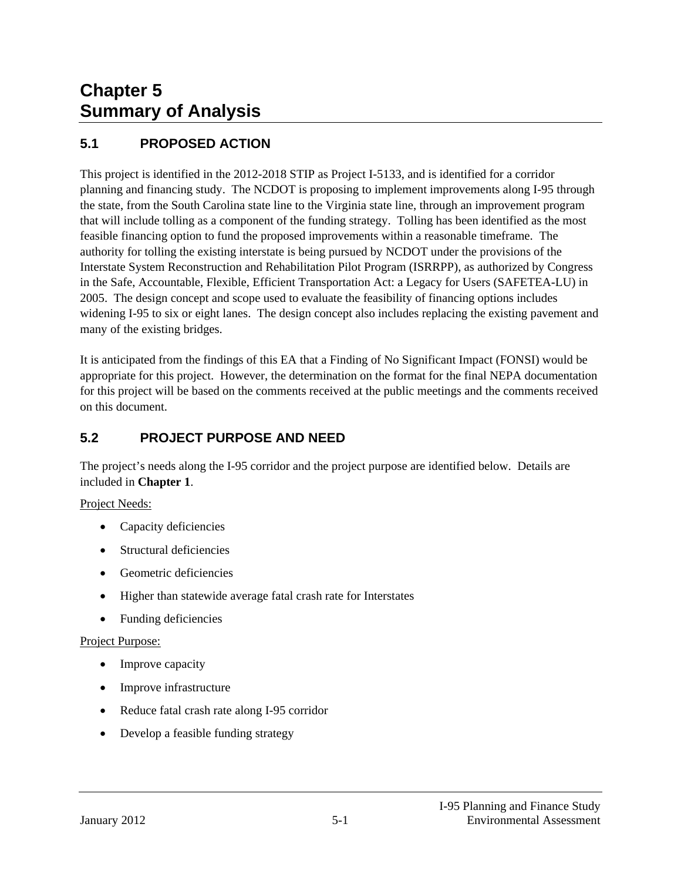# **Chapter 5 Summary of Analysis**

# **5.1 PROPOSED ACTION**

This project is identified in the 2012-2018 STIP as Project I-5133, and is identified for a corridor planning and financing study. The NCDOT is proposing to implement improvements along I-95 through the state, from the South Carolina state line to the Virginia state line, through an improvement program that will include tolling as a component of the funding strategy. Tolling has been identified as the most feasible financing option to fund the proposed improvements within a reasonable timeframe. The authority for tolling the existing interstate is being pursued by NCDOT under the provisions of the Interstate System Reconstruction and Rehabilitation Pilot Program (ISRRPP), as authorized by Congress in the Safe, Accountable, Flexible, Efficient Transportation Act: a Legacy for Users (SAFETEA-LU) in 2005. The design concept and scope used to evaluate the feasibility of financing options includes widening I-95 to six or eight lanes. The design concept also includes replacing the existing pavement and many of the existing bridges.

It is anticipated from the findings of this EA that a Finding of No Significant Impact (FONSI) would be appropriate for this project. However, the determination on the format for the final NEPA documentation for this project will be based on the comments received at the public meetings and the comments received on this document.

### **5.2 PROJECT PURPOSE AND NEED**

The project's needs along the I-95 corridor and the project purpose are identified below. Details are included in **Chapter 1**.

Project Needs:

- Capacity deficiencies
- Structural deficiencies
- Geometric deficiencies
- Higher than statewide average fatal crash rate for Interstates
- Funding deficiencies

#### Project Purpose:

- Improve capacity
- Improve infrastructure
- Reduce fatal crash rate along I-95 corridor
- Develop a feasible funding strategy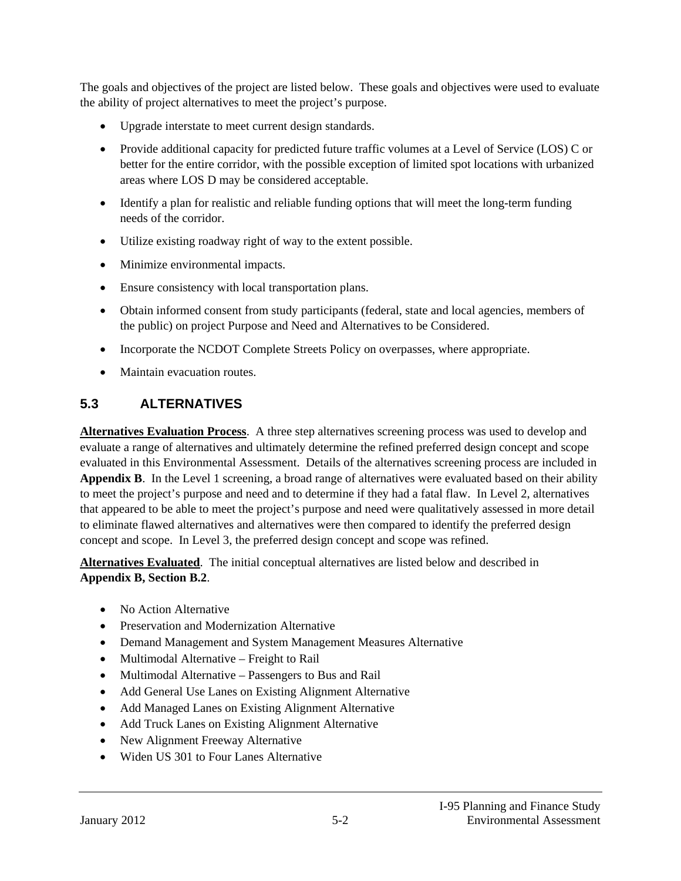The goals and objectives of the project are listed below. These goals and objectives were used to evaluate the ability of project alternatives to meet the project's purpose.

- Upgrade interstate to meet current design standards.
- Provide additional capacity for predicted future traffic volumes at a Level of Service (LOS) C or better for the entire corridor, with the possible exception of limited spot locations with urbanized areas where LOS D may be considered acceptable.
- Identify a plan for realistic and reliable funding options that will meet the long-term funding needs of the corridor.
- Utilize existing roadway right of way to the extent possible.
- Minimize environmental impacts.
- Ensure consistency with local transportation plans.
- Obtain informed consent from study participants (federal, state and local agencies, members of the public) on project Purpose and Need and Alternatives to be Considered.
- Incorporate the NCDOT Complete Streets Policy on overpasses, where appropriate.
- Maintain evacuation routes.

#### **5.3 ALTERNATIVES**

**Alternatives Evaluation Process**. A three step alternatives screening process was used to develop and evaluate a range of alternatives and ultimately determine the refined preferred design concept and scope evaluated in this Environmental Assessment. Details of the alternatives screening process are included in **Appendix B**. In the Level 1 screening, a broad range of alternatives were evaluated based on their ability to meet the project's purpose and need and to determine if they had a fatal flaw. In Level 2, alternatives that appeared to be able to meet the project's purpose and need were qualitatively assessed in more detail to eliminate flawed alternatives and alternatives were then compared to identify the preferred design concept and scope. In Level 3, the preferred design concept and scope was refined.

**Alternatives Evaluated**. The initial conceptual alternatives are listed below and described in **Appendix B, Section B.2**.

- No Action Alternative
- Preservation and Modernization Alternative
- Demand Management and System Management Measures Alternative
- Multimodal Alternative Freight to Rail
- Multimodal Alternative Passengers to Bus and Rail
- Add General Use Lanes on Existing Alignment Alternative
- Add Managed Lanes on Existing Alignment Alternative
- Add Truck Lanes on Existing Alignment Alternative
- New Alignment Freeway Alternative
- Widen US 301 to Four Lanes Alternative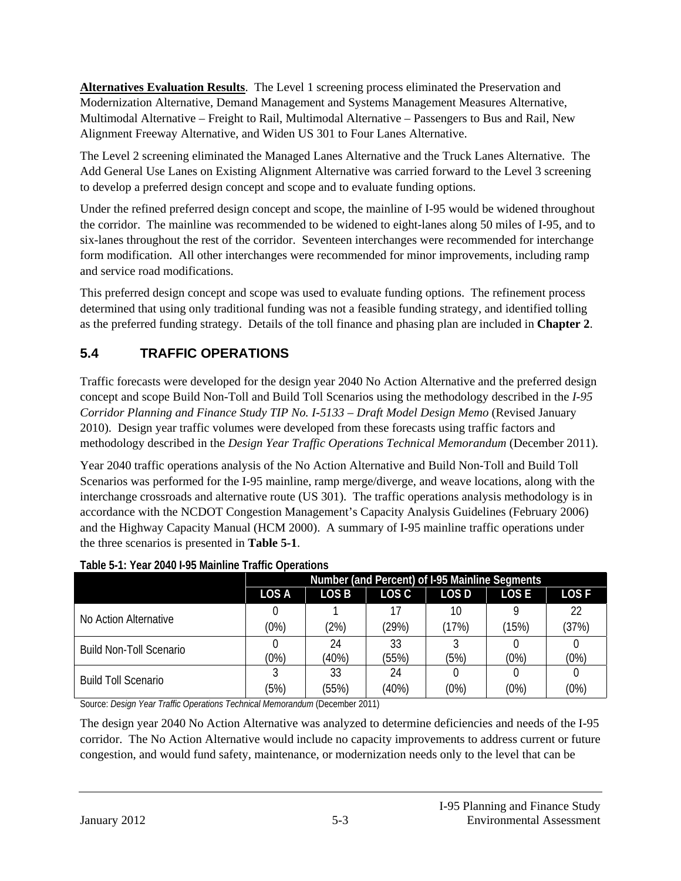**Alternatives Evaluation Results**. The Level 1 screening process eliminated the Preservation and Modernization Alternative, Demand Management and Systems Management Measures Alternative, Multimodal Alternative – Freight to Rail, Multimodal Alternative – Passengers to Bus and Rail, New Alignment Freeway Alternative, and Widen US 301 to Four Lanes Alternative.

The Level 2 screening eliminated the Managed Lanes Alternative and the Truck Lanes Alternative. The Add General Use Lanes on Existing Alignment Alternative was carried forward to the Level 3 screening to develop a preferred design concept and scope and to evaluate funding options.

Under the refined preferred design concept and scope, the mainline of I-95 would be widened throughout the corridor. The mainline was recommended to be widened to eight-lanes along 50 miles of I-95, and to six-lanes throughout the rest of the corridor. Seventeen interchanges were recommended for interchange form modification. All other interchanges were recommended for minor improvements, including ramp and service road modifications.

This preferred design concept and scope was used to evaluate funding options. The refinement process determined that using only traditional funding was not a feasible funding strategy, and identified tolling as the preferred funding strategy. Details of the toll finance and phasing plan are included in **Chapter 2**.

# **5.4 TRAFFIC OPERATIONS**

Traffic forecasts were developed for the design year 2040 No Action Alternative and the preferred design concept and scope Build Non-Toll and Build Toll Scenarios using the methodology described in the *I-95 Corridor Planning and Finance Study TIP No. I-5133 – Draft Model Design Memo* (Revised January 2010). Design year traffic volumes were developed from these forecasts using traffic factors and methodology described in the *Design Year Traffic Operations Technical Memorandum* (December 2011).

Year 2040 traffic operations analysis of the No Action Alternative and Build Non-Toll and Build Toll Scenarios was performed for the I-95 mainline, ramp merge/diverge, and weave locations, along with the interchange crossroads and alternative route (US 301). The traffic operations analysis methodology is in accordance with the NCDOT Congestion Management's Capacity Analysis Guidelines (February 2006) and the Highway Capacity Manual (HCM 2000). A summary of I-95 mainline traffic operations under the three scenarios is presented in **Table 5-1**.

|                                | Number (and Percent) of I-95 Mainline Segments |       |       |                  |             |             |
|--------------------------------|------------------------------------------------|-------|-------|------------------|-------------|-------------|
|                                | <b>LOSA</b>                                    | LOS B | LOS C | LOS <sub>D</sub> | <b>LOSE</b> | <b>LOSF</b> |
| No Action Alternative          |                                                |       |       | 10               |             | 22          |
|                                | (0%)                                           | (2%)  | (29%) | (17%)            | (15%)       | (37%)       |
| <b>Build Non-Toll Scenario</b> |                                                | 24    | 33    |                  |             |             |
|                                | (0%)                                           | (40%) | (55%) | (5%)             | (0%)        | (0%)        |
| <b>Build Toll Scenario</b>     |                                                | 33    | 24    |                  |             |             |
|                                | (5%)                                           | (55%) | (40%) | (0%)             | (0%)        | (0%)        |

#### **Table 5-1: Year 2040 I-95 Mainline Traffic Operations**

Source: *Design Year Traffic Operations Technical Memorandum* (December 2011)

The design year 2040 No Action Alternative was analyzed to determine deficiencies and needs of the I-95 corridor. The No Action Alternative would include no capacity improvements to address current or future congestion, and would fund safety, maintenance, or modernization needs only to the level that can be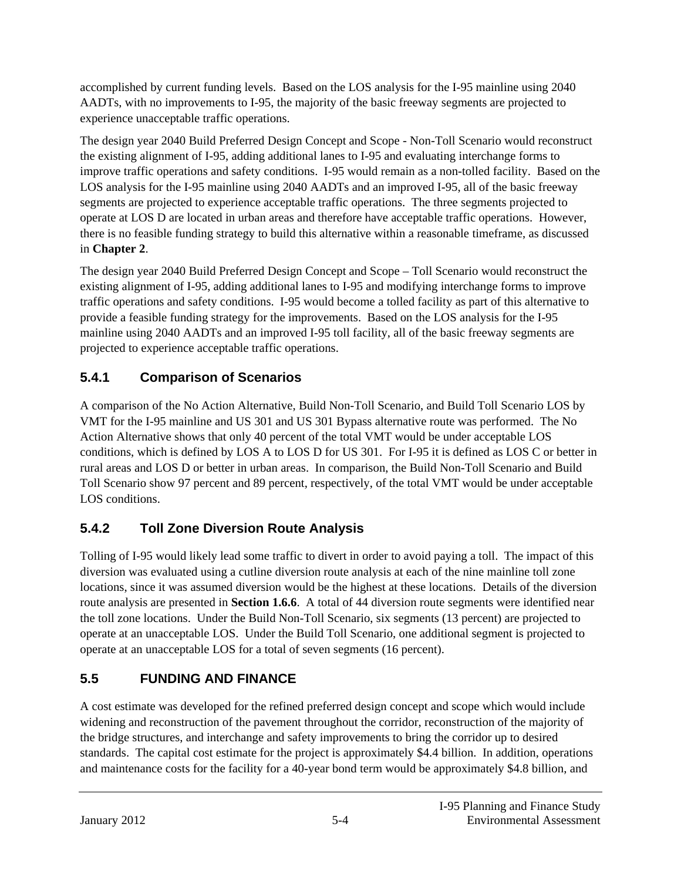accomplished by current funding levels. Based on the LOS analysis for the I-95 mainline using 2040 AADTs, with no improvements to I-95, the majority of the basic freeway segments are projected to experience unacceptable traffic operations.

The design year 2040 Build Preferred Design Concept and Scope - Non-Toll Scenario would reconstruct the existing alignment of I-95, adding additional lanes to I-95 and evaluating interchange forms to improve traffic operations and safety conditions. I-95 would remain as a non-tolled facility. Based on the LOS analysis for the I-95 mainline using 2040 AADTs and an improved I-95, all of the basic freeway segments are projected to experience acceptable traffic operations. The three segments projected to operate at LOS D are located in urban areas and therefore have acceptable traffic operations. However, there is no feasible funding strategy to build this alternative within a reasonable timeframe, as discussed in **Chapter 2**.

The design year 2040 Build Preferred Design Concept and Scope – Toll Scenario would reconstruct the existing alignment of I-95, adding additional lanes to I-95 and modifying interchange forms to improve traffic operations and safety conditions. I-95 would become a tolled facility as part of this alternative to provide a feasible funding strategy for the improvements. Based on the LOS analysis for the I-95 mainline using 2040 AADTs and an improved I-95 toll facility, all of the basic freeway segments are projected to experience acceptable traffic operations.

# **5.4.1 Comparison of Scenarios**

A comparison of the No Action Alternative, Build Non-Toll Scenario, and Build Toll Scenario LOS by VMT for the I-95 mainline and US 301 and US 301 Bypass alternative route was performed. The No Action Alternative shows that only 40 percent of the total VMT would be under acceptable LOS conditions, which is defined by LOS A to LOS D for US 301. For I-95 it is defined as LOS C or better in rural areas and LOS D or better in urban areas. In comparison, the Build Non-Toll Scenario and Build Toll Scenario show 97 percent and 89 percent, respectively, of the total VMT would be under acceptable LOS conditions.

# **5.4.2 Toll Zone Diversion Route Analysis**

Tolling of I-95 would likely lead some traffic to divert in order to avoid paying a toll. The impact of this diversion was evaluated using a cutline diversion route analysis at each of the nine mainline toll zone locations, since it was assumed diversion would be the highest at these locations. Details of the diversion route analysis are presented in **Section 1.6.6**. A total of 44 diversion route segments were identified near the toll zone locations. Under the Build Non-Toll Scenario, six segments (13 percent) are projected to operate at an unacceptable LOS. Under the Build Toll Scenario, one additional segment is projected to operate at an unacceptable LOS for a total of seven segments (16 percent).

# **5.5 FUNDING AND FINANCE**

A cost estimate was developed for the refined preferred design concept and scope which would include widening and reconstruction of the pavement throughout the corridor, reconstruction of the majority of the bridge structures, and interchange and safety improvements to bring the corridor up to desired standards. The capital cost estimate for the project is approximately \$4.4 billion. In addition, operations and maintenance costs for the facility for a 40-year bond term would be approximately \$4.8 billion, and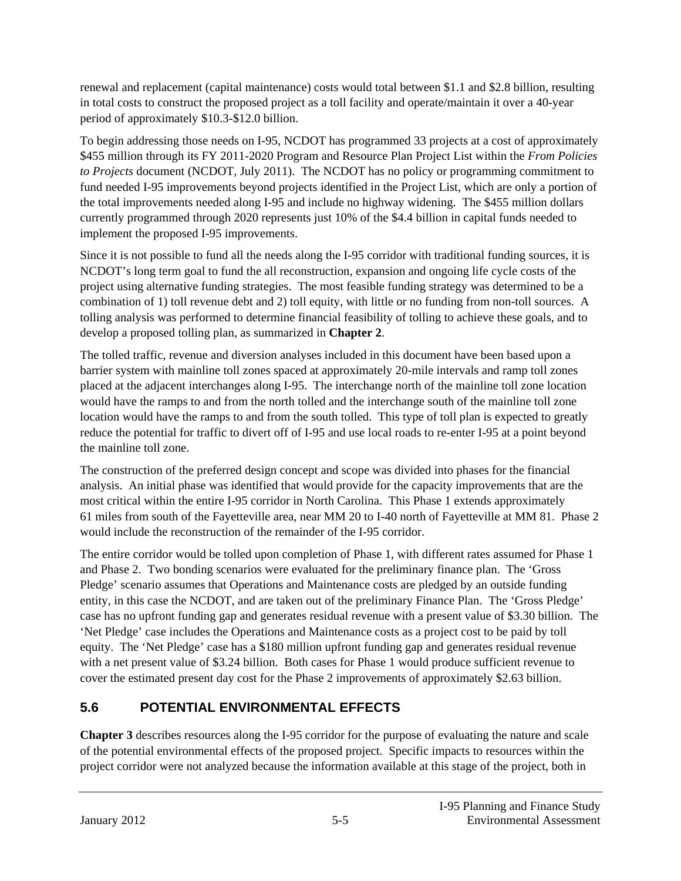renewal and replacement (capital maintenance) costs would total between \$1.1 and \$2.8 billion, resulting in total costs to construct the proposed project as a toll facility and operate/maintain it over a 40-year period of approximately \$10.3-\$12.0 billion.

To begin addressing those needs on I-95, NCDOT has programmed 33 projects at a cost of approximately \$455 million through its FY 2011-2020 Program and Resource Plan Project List within the *From Policies to Projects* document (NCDOT, July 2011). The NCDOT has no policy or programming commitment to fund needed I-95 improvements beyond projects identified in the Project List, which are only a portion of the total improvements needed along I-95 and include no highway widening. The \$455 million dollars currently programmed through 2020 represents just 10% of the \$4.4 billion in capital funds needed to implement the proposed I-95 improvements.

Since it is not possible to fund all the needs along the I-95 corridor with traditional funding sources, it is NCDOT's long term goal to fund the all reconstruction, expansion and ongoing life cycle costs of the project using alternative funding strategies. The most feasible funding strategy was determined to be a combination of 1) toll revenue debt and 2) toll equity, with little or no funding from non-toll sources. A tolling analysis was performed to determine financial feasibility of tolling to achieve these goals, and to develop a proposed tolling plan, as summarized in **Chapter 2**.

The tolled traffic, revenue and diversion analyses included in this document have been based upon a barrier system with mainline toll zones spaced at approximately 20-mile intervals and ramp toll zones placed at the adjacent interchanges along I-95. The interchange north of the mainline toll zone location would have the ramps to and from the north tolled and the interchange south of the mainline toll zone location would have the ramps to and from the south tolled. This type of toll plan is expected to greatly reduce the potential for traffic to divert off of I-95 and use local roads to re-enter I-95 at a point beyond the mainline toll zone.

The construction of the preferred design concept and scope was divided into phases for the financial analysis. An initial phase was identified that would provide for the capacity improvements that are the most critical within the entire I-95 corridor in North Carolina. This Phase 1 extends approximately 61 miles from south of the Fayetteville area, near MM 20 to I-40 north of Fayetteville at MM 81. Phase 2 would include the reconstruction of the remainder of the I-95 corridor.

The entire corridor would be tolled upon completion of Phase 1, with different rates assumed for Phase 1 and Phase 2. Two bonding scenarios were evaluated for the preliminary finance plan. The 'Gross Pledge' scenario assumes that Operations and Maintenance costs are pledged by an outside funding entity, in this case the NCDOT, and are taken out of the preliminary Finance Plan. The 'Gross Pledge' case has no upfront funding gap and generates residual revenue with a present value of \$3.30 billion. The 'Net Pledge' case includes the Operations and Maintenance costs as a project cost to be paid by toll equity. The 'Net Pledge' case has a \$180 million upfront funding gap and generates residual revenue with a net present value of \$3.24 billion. Both cases for Phase 1 would produce sufficient revenue to cover the estimated present day cost for the Phase 2 improvements of approximately \$2.63 billion.

# **5.6 POTENTIAL ENVIRONMENTAL EFFECTS**

**Chapter 3** describes resources along the I-95 corridor for the purpose of evaluating the nature and scale of the potential environmental effects of the proposed project. Specific impacts to resources within the project corridor were not analyzed because the information available at this stage of the project, both in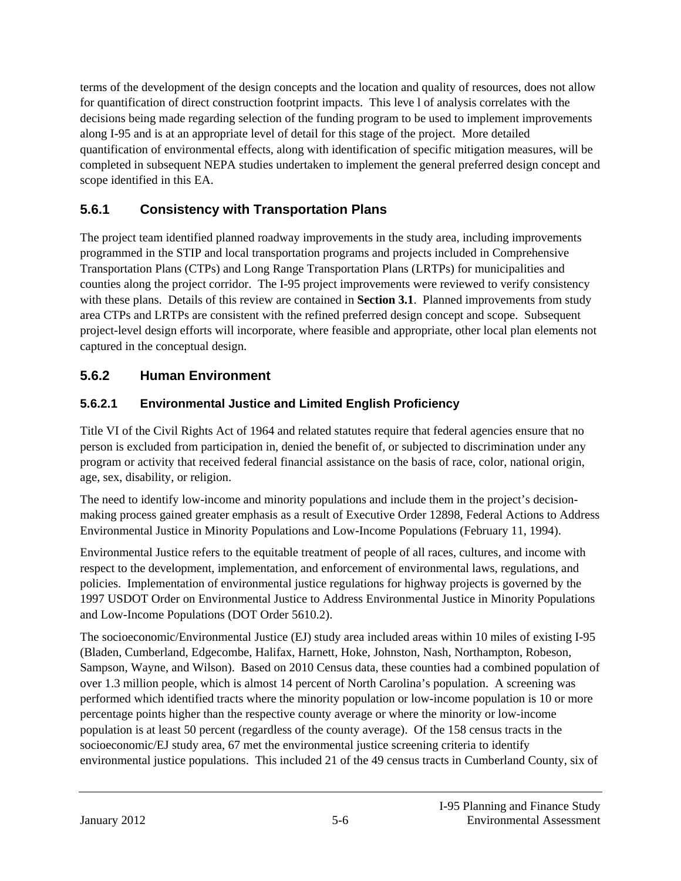terms of the development of the design concepts and the location and quality of resources, does not allow for quantification of direct construction footprint impacts. This leve l of analysis correlates with the decisions being made regarding selection of the funding program to be used to implement improvements along I-95 and is at an appropriate level of detail for this stage of the project. More detailed quantification of environmental effects, along with identification of specific mitigation measures, will be completed in subsequent NEPA studies undertaken to implement the general preferred design concept and scope identified in this EA.

### **5.6.1 Consistency with Transportation Plans**

The project team identified planned roadway improvements in the study area, including improvements programmed in the STIP and local transportation programs and projects included in Comprehensive Transportation Plans (CTPs) and Long Range Transportation Plans (LRTPs) for municipalities and counties along the project corridor. The I-95 project improvements were reviewed to verify consistency with these plans. Details of this review are contained in **Section 3.1**. Planned improvements from study area CTPs and LRTPs are consistent with the refined preferred design concept and scope. Subsequent project-level design efforts will incorporate, where feasible and appropriate, other local plan elements not captured in the conceptual design.

# **5.6.2 Human Environment**

### **5.6.2.1 Environmental Justice and Limited English Proficiency**

Title VI of the Civil Rights Act of 1964 and related statutes require that federal agencies ensure that no person is excluded from participation in, denied the benefit of, or subjected to discrimination under any program or activity that received federal financial assistance on the basis of race, color, national origin, age, sex, disability, or religion.

The need to identify low-income and minority populations and include them in the project's decisionmaking process gained greater emphasis as a result of Executive Order 12898, Federal Actions to Address Environmental Justice in Minority Populations and Low-Income Populations (February 11, 1994).

Environmental Justice refers to the equitable treatment of people of all races, cultures, and income with respect to the development, implementation, and enforcement of environmental laws, regulations, and policies. Implementation of environmental justice regulations for highway projects is governed by the 1997 USDOT Order on Environmental Justice to Address Environmental Justice in Minority Populations and Low-Income Populations (DOT Order 5610.2).

The socioeconomic/Environmental Justice (EJ) study area included areas within 10 miles of existing I-95 (Bladen, Cumberland, Edgecombe, Halifax, Harnett, Hoke, Johnston, Nash, Northampton, Robeson, Sampson, Wayne, and Wilson). Based on 2010 Census data, these counties had a combined population of over 1.3 million people, which is almost 14 percent of North Carolina's population. A screening was performed which identified tracts where the minority population or low-income population is 10 or more percentage points higher than the respective county average or where the minority or low-income population is at least 50 percent (regardless of the county average). Of the 158 census tracts in the socioeconomic/EJ study area, 67 met the environmental justice screening criteria to identify environmental justice populations. This included 21 of the 49 census tracts in Cumberland County, six of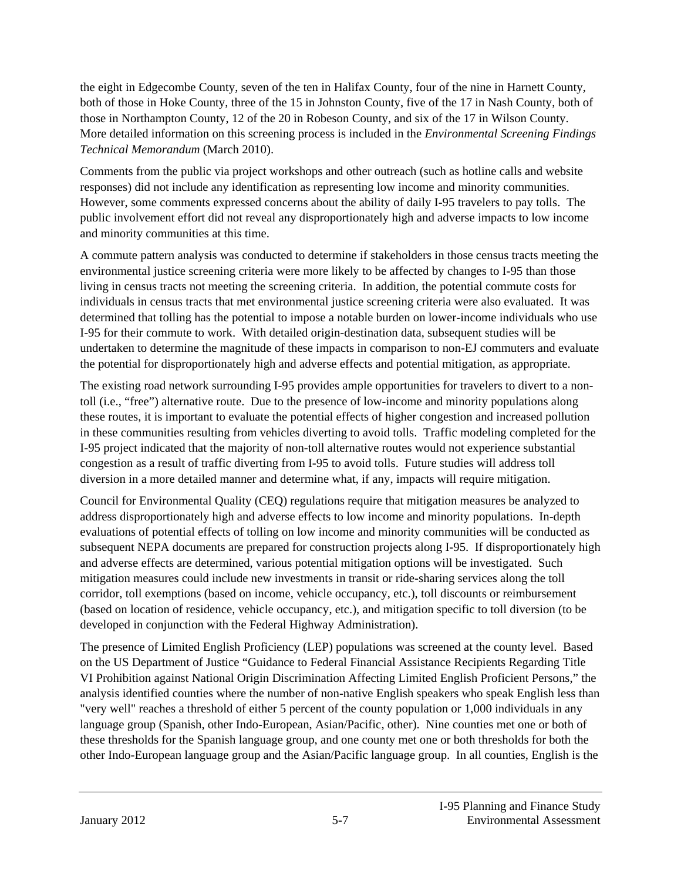the eight in Edgecombe County, seven of the ten in Halifax County, four of the nine in Harnett County, both of those in Hoke County, three of the 15 in Johnston County, five of the 17 in Nash County, both of those in Northampton County, 12 of the 20 in Robeson County, and six of the 17 in Wilson County. More detailed information on this screening process is included in the *Environmental Screening Findings Technical Memorandum* (March 2010).

Comments from the public via project workshops and other outreach (such as hotline calls and website responses) did not include any identification as representing low income and minority communities. However, some comments expressed concerns about the ability of daily I-95 travelers to pay tolls. The public involvement effort did not reveal any disproportionately high and adverse impacts to low income and minority communities at this time.

A commute pattern analysis was conducted to determine if stakeholders in those census tracts meeting the environmental justice screening criteria were more likely to be affected by changes to I-95 than those living in census tracts not meeting the screening criteria. In addition, the potential commute costs for individuals in census tracts that met environmental justice screening criteria were also evaluated. It was determined that tolling has the potential to impose a notable burden on lower-income individuals who use I-95 for their commute to work. With detailed origin-destination data, subsequent studies will be undertaken to determine the magnitude of these impacts in comparison to non-EJ commuters and evaluate the potential for disproportionately high and adverse effects and potential mitigation, as appropriate.

The existing road network surrounding I-95 provides ample opportunities for travelers to divert to a nontoll (i.e., "free") alternative route. Due to the presence of low-income and minority populations along these routes, it is important to evaluate the potential effects of higher congestion and increased pollution in these communities resulting from vehicles diverting to avoid tolls. Traffic modeling completed for the I-95 project indicated that the majority of non-toll alternative routes would not experience substantial congestion as a result of traffic diverting from I-95 to avoid tolls. Future studies will address toll diversion in a more detailed manner and determine what, if any, impacts will require mitigation.

Council for Environmental Quality (CEQ) regulations require that mitigation measures be analyzed to address disproportionately high and adverse effects to low income and minority populations. In-depth evaluations of potential effects of tolling on low income and minority communities will be conducted as subsequent NEPA documents are prepared for construction projects along I-95. If disproportionately high and adverse effects are determined, various potential mitigation options will be investigated. Such mitigation measures could include new investments in transit or ride-sharing services along the toll corridor, toll exemptions (based on income, vehicle occupancy, etc.), toll discounts or reimbursement (based on location of residence, vehicle occupancy, etc.), and mitigation specific to toll diversion (to be developed in conjunction with the Federal Highway Administration).

The presence of Limited English Proficiency (LEP) populations was screened at the county level. Based on the US Department of Justice "Guidance to Federal Financial Assistance Recipients Regarding Title VI Prohibition against National Origin Discrimination Affecting Limited English Proficient Persons," the analysis identified counties where the number of non-native English speakers who speak English less than "very well" reaches a threshold of either 5 percent of the county population or 1,000 individuals in any language group (Spanish, other Indo-European, Asian/Pacific, other). Nine counties met one or both of these thresholds for the Spanish language group, and one county met one or both thresholds for both the other Indo-European language group and the Asian/Pacific language group. In all counties, English is the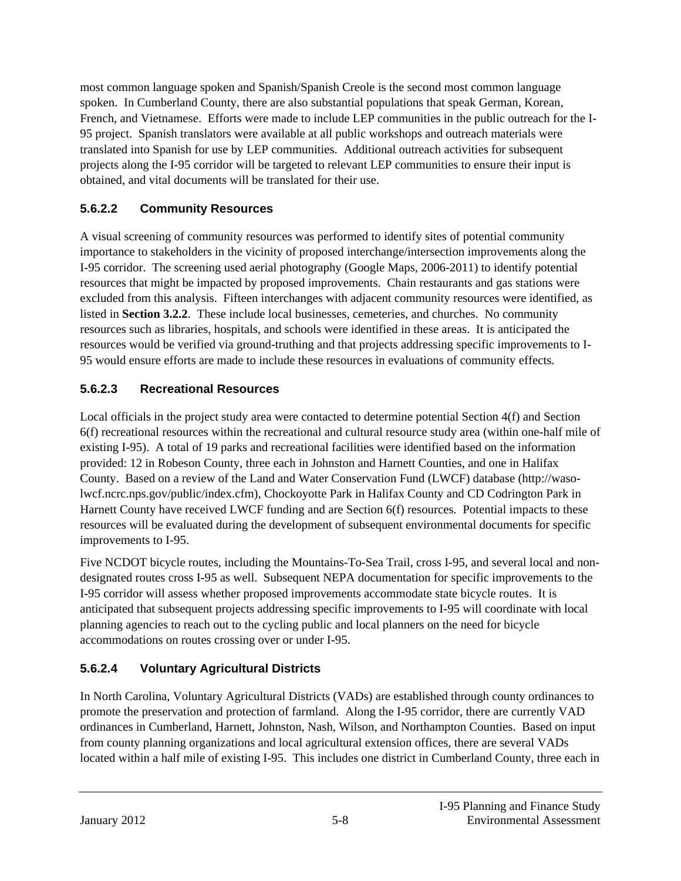most common language spoken and Spanish/Spanish Creole is the second most common language spoken. In Cumberland County, there are also substantial populations that speak German, Korean, French, and Vietnamese. Efforts were made to include LEP communities in the public outreach for the I-95 project. Spanish translators were available at all public workshops and outreach materials were translated into Spanish for use by LEP communities. Additional outreach activities for subsequent projects along the I-95 corridor will be targeted to relevant LEP communities to ensure their input is obtained, and vital documents will be translated for their use.

### **5.6.2.2 Community Resources**

A visual screening of community resources was performed to identify sites of potential community importance to stakeholders in the vicinity of proposed interchange/intersection improvements along the I-95 corridor. The screening used aerial photography (Google Maps, 2006-2011) to identify potential resources that might be impacted by proposed improvements. Chain restaurants and gas stations were excluded from this analysis. Fifteen interchanges with adjacent community resources were identified, as listed in **Section 3.2.2**. These include local businesses, cemeteries, and churches. No community resources such as libraries, hospitals, and schools were identified in these areas. It is anticipated the resources would be verified via ground-truthing and that projects addressing specific improvements to I-95 would ensure efforts are made to include these resources in evaluations of community effects.

#### **5.6.2.3 Recreational Resources**

Local officials in the project study area were contacted to determine potential Section 4(f) and Section 6(f) recreational resources within the recreational and cultural resource study area (within one-half mile of existing I-95). A total of 19 parks and recreational facilities were identified based on the information provided: 12 in Robeson County, three each in Johnston and Harnett Counties, and one in Halifax County. Based on a review of the Land and Water Conservation Fund (LWCF) database (http://wasolwcf.ncrc.nps.gov/public/index.cfm), Chockoyotte Park in Halifax County and CD Codrington Park in Harnett County have received LWCF funding and are Section 6(f) resources. Potential impacts to these resources will be evaluated during the development of subsequent environmental documents for specific improvements to I-95.

Five NCDOT bicycle routes, including the Mountains-To-Sea Trail, cross I-95, and several local and nondesignated routes cross I-95 as well. Subsequent NEPA documentation for specific improvements to the I-95 corridor will assess whether proposed improvements accommodate state bicycle routes. It is anticipated that subsequent projects addressing specific improvements to I-95 will coordinate with local planning agencies to reach out to the cycling public and local planners on the need for bicycle accommodations on routes crossing over or under I-95.

### **5.6.2.4 Voluntary Agricultural Districts**

In North Carolina, Voluntary Agricultural Districts (VADs) are established through county ordinances to promote the preservation and protection of farmland. Along the I-95 corridor, there are currently VAD ordinances in Cumberland, Harnett, Johnston, Nash, Wilson, and Northampton Counties. Based on input from county planning organizations and local agricultural extension offices, there are several VADs located within a half mile of existing I-95. This includes one district in Cumberland County, three each in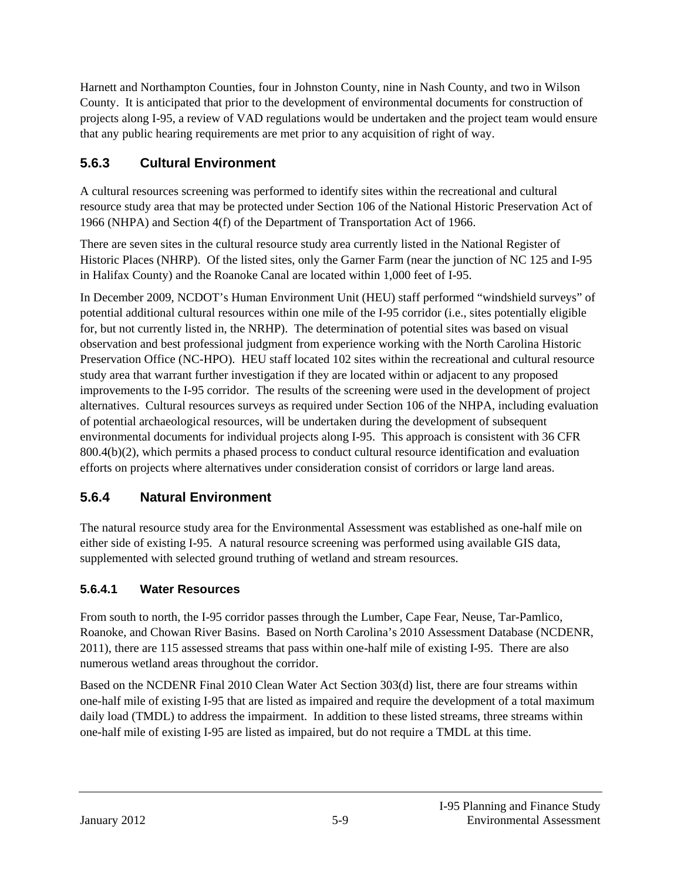Harnett and Northampton Counties, four in Johnston County, nine in Nash County, and two in Wilson County. It is anticipated that prior to the development of environmental documents for construction of projects along I-95, a review of VAD regulations would be undertaken and the project team would ensure that any public hearing requirements are met prior to any acquisition of right of way.

# **5.6.3 Cultural Environment**

A cultural resources screening was performed to identify sites within the recreational and cultural resource study area that may be protected under Section 106 of the National Historic Preservation Act of 1966 (NHPA) and Section 4(f) of the Department of Transportation Act of 1966.

There are seven sites in the cultural resource study area currently listed in the National Register of Historic Places (NHRP). Of the listed sites, only the Garner Farm (near the junction of NC 125 and I-95 in Halifax County) and the Roanoke Canal are located within 1,000 feet of I-95.

In December 2009, NCDOT's Human Environment Unit (HEU) staff performed "windshield surveys" of potential additional cultural resources within one mile of the I-95 corridor (i.e., sites potentially eligible for, but not currently listed in, the NRHP). The determination of potential sites was based on visual observation and best professional judgment from experience working with the North Carolina Historic Preservation Office (NC-HPO). HEU staff located 102 sites within the recreational and cultural resource study area that warrant further investigation if they are located within or adjacent to any proposed improvements to the I-95 corridor. The results of the screening were used in the development of project alternatives. Cultural resources surveys as required under Section 106 of the NHPA, including evaluation of potential archaeological resources, will be undertaken during the development of subsequent environmental documents for individual projects along I-95. This approach is consistent with 36 CFR 800.4(b)(2), which permits a phased process to conduct cultural resource identification and evaluation efforts on projects where alternatives under consideration consist of corridors or large land areas.

### **5.6.4 Natural Environment**

The natural resource study area for the Environmental Assessment was established as one-half mile on either side of existing I-95. A natural resource screening was performed using available GIS data, supplemented with selected ground truthing of wetland and stream resources.

### **5.6.4.1 Water Resources**

From south to north, the I-95 corridor passes through the Lumber, Cape Fear, Neuse, Tar-Pamlico, Roanoke, and Chowan River Basins. Based on North Carolina's 2010 Assessment Database (NCDENR, 2011), there are 115 assessed streams that pass within one-half mile of existing I-95. There are also numerous wetland areas throughout the corridor.

Based on the NCDENR Final 2010 Clean Water Act Section 303(d) list, there are four streams within one-half mile of existing I-95 that are listed as impaired and require the development of a total maximum daily load (TMDL) to address the impairment. In addition to these listed streams, three streams within one-half mile of existing I-95 are listed as impaired, but do not require a TMDL at this time.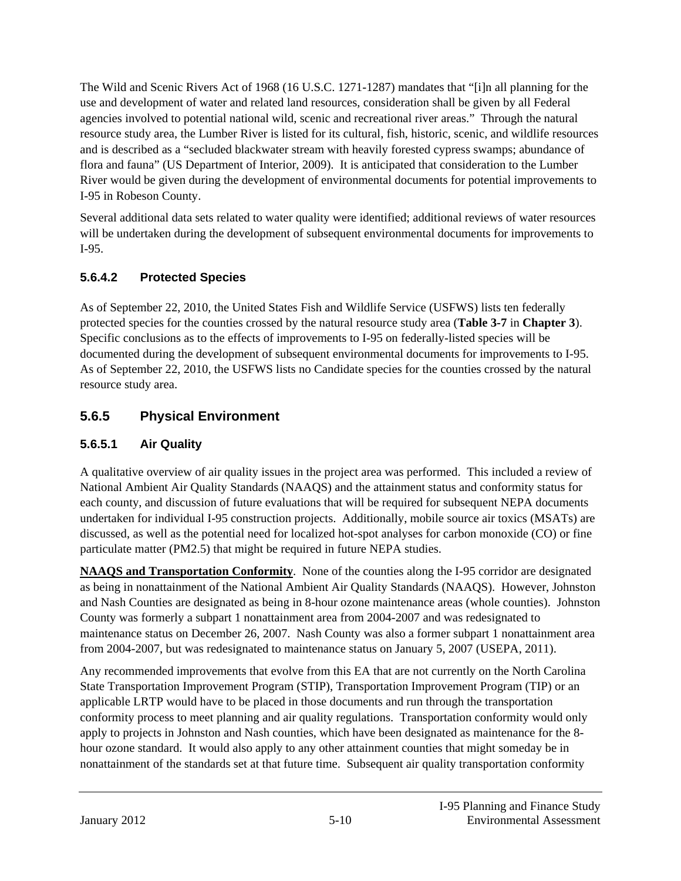The Wild and Scenic Rivers Act of 1968 (16 U.S.C. 1271-1287) mandates that "[i]n all planning for the use and development of water and related land resources, consideration shall be given by all Federal agencies involved to potential national wild, scenic and recreational river areas." Through the natural resource study area, the Lumber River is listed for its cultural, fish, historic, scenic, and wildlife resources and is described as a "secluded blackwater stream with heavily forested cypress swamps; abundance of flora and fauna" (US Department of Interior, 2009). It is anticipated that consideration to the Lumber River would be given during the development of environmental documents for potential improvements to I-95 in Robeson County.

Several additional data sets related to water quality were identified; additional reviews of water resources will be undertaken during the development of subsequent environmental documents for improvements to I-95.

### **5.6.4.2 Protected Species**

As of September 22, 2010, the United States Fish and Wildlife Service (USFWS) lists ten federally protected species for the counties crossed by the natural resource study area (**Table 3-7** in **Chapter 3**). Specific conclusions as to the effects of improvements to I-95 on federally-listed species will be documented during the development of subsequent environmental documents for improvements to I-95. As of September 22, 2010, the USFWS lists no Candidate species for the counties crossed by the natural resource study area.

### **5.6.5 Physical Environment**

#### **5.6.5.1 Air Quality**

A qualitative overview of air quality issues in the project area was performed. This included a review of National Ambient Air Quality Standards (NAAQS) and the attainment status and conformity status for each county, and discussion of future evaluations that will be required for subsequent NEPA documents undertaken for individual I-95 construction projects. Additionally, mobile source air toxics (MSATs) are discussed, as well as the potential need for localized hot-spot analyses for carbon monoxide (CO) or fine particulate matter (PM2.5) that might be required in future NEPA studies.

**NAAQS and Transportation Conformity**. None of the counties along the I-95 corridor are designated as being in nonattainment of the National Ambient Air Quality Standards (NAAQS). However, Johnston and Nash Counties are designated as being in 8-hour ozone maintenance areas (whole counties). Johnston County was formerly a subpart 1 nonattainment area from 2004-2007 and was redesignated to maintenance status on December 26, 2007. Nash County was also a former subpart 1 nonattainment area from 2004-2007, but was redesignated to maintenance status on January 5, 2007 (USEPA, 2011).

Any recommended improvements that evolve from this EA that are not currently on the North Carolina State Transportation Improvement Program (STIP), Transportation Improvement Program (TIP) or an applicable LRTP would have to be placed in those documents and run through the transportation conformity process to meet planning and air quality regulations. Transportation conformity would only apply to projects in Johnston and Nash counties, which have been designated as maintenance for the 8 hour ozone standard. It would also apply to any other attainment counties that might someday be in nonattainment of the standards set at that future time. Subsequent air quality transportation conformity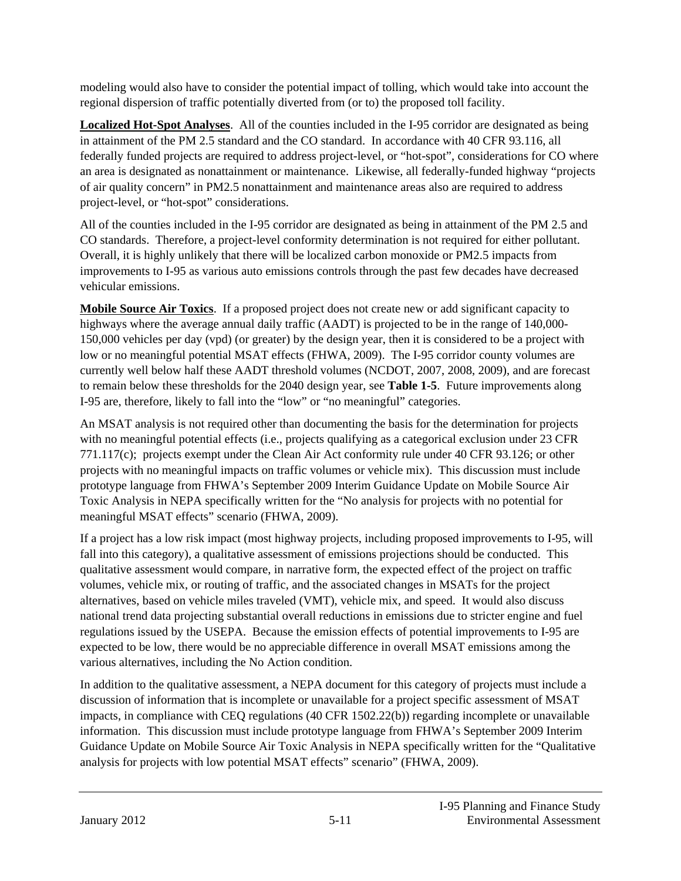modeling would also have to consider the potential impact of tolling, which would take into account the regional dispersion of traffic potentially diverted from (or to) the proposed toll facility.

**Localized Hot-Spot Analyses**. All of the counties included in the I-95 corridor are designated as being in attainment of the PM 2.5 standard and the CO standard. In accordance with 40 CFR 93.116, all federally funded projects are required to address project-level, or "hot-spot", considerations for CO where an area is designated as nonattainment or maintenance. Likewise, all federally-funded highway "projects of air quality concern" in PM2.5 nonattainment and maintenance areas also are required to address project-level, or "hot-spot" considerations.

All of the counties included in the I-95 corridor are designated as being in attainment of the PM 2.5 and CO standards. Therefore, a project-level conformity determination is not required for either pollutant. Overall, it is highly unlikely that there will be localized carbon monoxide or PM2.5 impacts from improvements to I-95 as various auto emissions controls through the past few decades have decreased vehicular emissions.

**Mobile Source Air Toxics**. If a proposed project does not create new or add significant capacity to highways where the average annual daily traffic (AADT) is projected to be in the range of 140,000- 150,000 vehicles per day (vpd) (or greater) by the design year, then it is considered to be a project with low or no meaningful potential MSAT effects (FHWA, 2009). The I-95 corridor county volumes are currently well below half these AADT threshold volumes (NCDOT, 2007, 2008, 2009), and are forecast to remain below these thresholds for the 2040 design year, see **Table 1-5**. Future improvements along I-95 are, therefore, likely to fall into the "low" or "no meaningful" categories.

An MSAT analysis is not required other than documenting the basis for the determination for projects with no meaningful potential effects (i.e., projects qualifying as a categorical exclusion under 23 CFR 771.117(c); projects exempt under the Clean Air Act conformity rule under 40 CFR 93.126; or other projects with no meaningful impacts on traffic volumes or vehicle mix). This discussion must include prototype language from FHWA's September 2009 Interim Guidance Update on Mobile Source Air Toxic Analysis in NEPA specifically written for the "No analysis for projects with no potential for meaningful MSAT effects" scenario (FHWA, 2009).

If a project has a low risk impact (most highway projects, including proposed improvements to I-95, will fall into this category), a qualitative assessment of emissions projections should be conducted. This qualitative assessment would compare, in narrative form, the expected effect of the project on traffic volumes, vehicle mix, or routing of traffic, and the associated changes in MSATs for the project alternatives, based on vehicle miles traveled (VMT), vehicle mix, and speed. It would also discuss national trend data projecting substantial overall reductions in emissions due to stricter engine and fuel regulations issued by the USEPA. Because the emission effects of potential improvements to I-95 are expected to be low, there would be no appreciable difference in overall MSAT emissions among the various alternatives, including the No Action condition.

In addition to the qualitative assessment, a NEPA document for this category of projects must include a discussion of information that is incomplete or unavailable for a project specific assessment of MSAT impacts, in compliance with CEQ regulations (40 CFR 1502.22(b)) regarding incomplete or unavailable information. This discussion must include prototype language from FHWA's September 2009 Interim Guidance Update on Mobile Source Air Toxic Analysis in NEPA specifically written for the "Qualitative analysis for projects with low potential MSAT effects" scenario" (FHWA, 2009).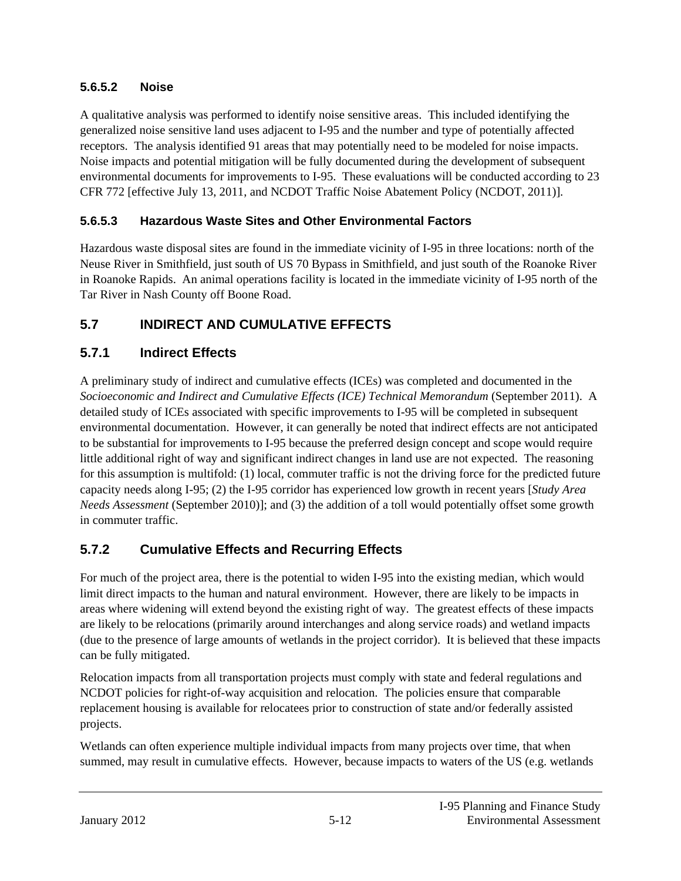#### **5.6.5.2 Noise**

A qualitative analysis was performed to identify noise sensitive areas. This included identifying the generalized noise sensitive land uses adjacent to I-95 and the number and type of potentially affected receptors. The analysis identified 91 areas that may potentially need to be modeled for noise impacts. Noise impacts and potential mitigation will be fully documented during the development of subsequent environmental documents for improvements to I-95. These evaluations will be conducted according to 23 CFR 772 [effective July 13, 2011, and NCDOT Traffic Noise Abatement Policy (NCDOT, 2011)].

#### **5.6.5.3 Hazardous Waste Sites and Other Environmental Factors**

Hazardous waste disposal sites are found in the immediate vicinity of I-95 in three locations: north of the Neuse River in Smithfield, just south of US 70 Bypass in Smithfield, and just south of the Roanoke River in Roanoke Rapids. An animal operations facility is located in the immediate vicinity of I-95 north of the Tar River in Nash County off Boone Road.

### **5.7 INDIRECT AND CUMULATIVE EFFECTS**

### **5.7.1 Indirect Effects**

A preliminary study of indirect and cumulative effects (ICEs) was completed and documented in the *Socioeconomic and Indirect and Cumulative Effects (ICE) Technical Memorandum* (September 2011). A detailed study of ICEs associated with specific improvements to I-95 will be completed in subsequent environmental documentation. However, it can generally be noted that indirect effects are not anticipated to be substantial for improvements to I-95 because the preferred design concept and scope would require little additional right of way and significant indirect changes in land use are not expected. The reasoning for this assumption is multifold: (1) local, commuter traffic is not the driving force for the predicted future capacity needs along I-95; (2) the I-95 corridor has experienced low growth in recent years [*Study Area Needs Assessment* (September 2010)]; and (3) the addition of a toll would potentially offset some growth in commuter traffic.

### **5.7.2 Cumulative Effects and Recurring Effects**

For much of the project area, there is the potential to widen I-95 into the existing median, which would limit direct impacts to the human and natural environment. However, there are likely to be impacts in areas where widening will extend beyond the existing right of way. The greatest effects of these impacts are likely to be relocations (primarily around interchanges and along service roads) and wetland impacts (due to the presence of large amounts of wetlands in the project corridor). It is believed that these impacts can be fully mitigated.

Relocation impacts from all transportation projects must comply with state and federal regulations and NCDOT policies for right-of-way acquisition and relocation. The policies ensure that comparable replacement housing is available for relocatees prior to construction of state and/or federally assisted projects.

Wetlands can often experience multiple individual impacts from many projects over time, that when summed, may result in cumulative effects. However, because impacts to waters of the US (e.g. wetlands